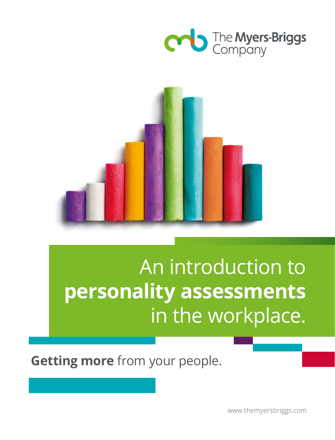



# An introduction to **personality assessments** in the workplace.

**Getting more** from your people.

www.themyersbriggs.com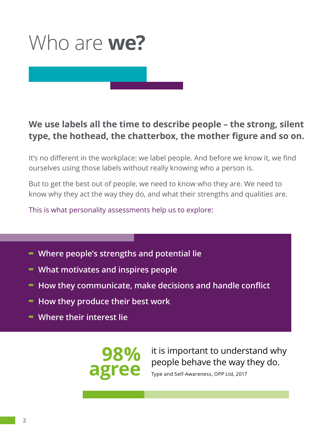

#### **We use labels all the time to describe people – the strong, silent type, the hothead, the chatterbox, the mother figure and so on.**

It's no different in the workplace: we label people. And before we know it, we find ourselves using those labels without really knowing who a person is.

But to get the best out of people, we need to know who they are. We need to know why they act the way they do, and what their strengths and qualities are.

This is what personality assessments help us to explore:

- **- Where people's strengths and potential lie**
- **- What motivates and inspires people**
- **- How they communicate, make decisions and handle conflict**
- **- How they produce their best work**
- **- Where their interest lie**

**98% agree**

it is important to understand why people behave the way they do.

Type and Self-Awareness, OPP Ltd, 2017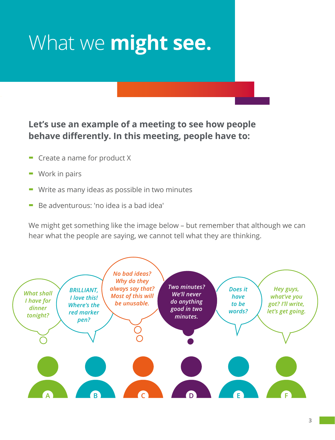# What we **might see.**

#### **Let's use an example of a meeting to see how people behave differently. In this meeting, people have to:**

- **-** Create a name for product X
- **-** Work in pairs
- **-** Write as many ideas as possible in two minutes
- **-** Be adventurous: 'no idea is a bad idea'

We might get something like the image below – but remember that although we can hear what the people are saying, we cannot tell what they are thinking.

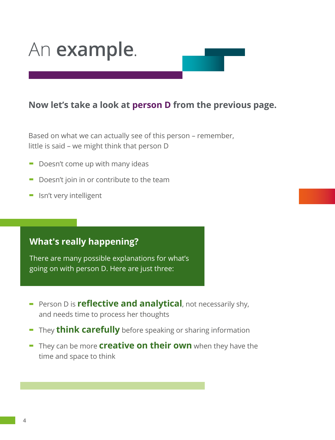### An **example**.

#### **Now let's take a look at person D from the previous page.**

Based on what we can actually see of this person – remember, little is said – we might think that person D

- **-** Doesn't come up with many ideas
- **-** Doesn't join in or contribute to the team
- **-** Isn't very intelligent

#### **What's really happening?**

There are many possible explanations for what's going on with person D. Here are just three:

- **-** Person D is **reflective and analytical**, not necessarily shy, and needs time to process her thoughts
- **-** They **think carefully** before speaking or sharing information
- **-** They can be more **creative on their own** when they have the time and space to think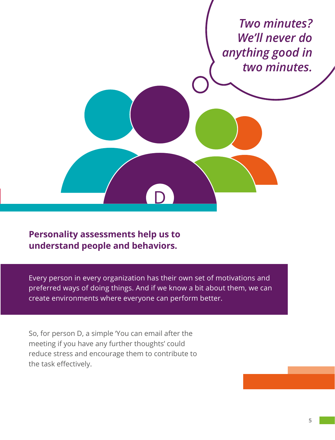

#### **Personality assessments help us to understand people and behaviors.**

Every person in every organization has their own set of motivations and preferred ways of doing things. And if we know a bit about them, we can create environments where everyone can perform better.

So, for person D, a simple 'You can email after the meeting if you have any further thoughts' could reduce stress and encourage them to contribute to the task effectively.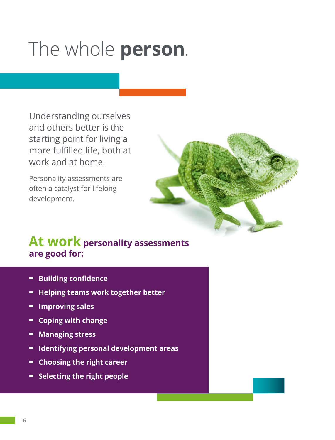## The whole **person**.

Understanding ourselves and others better is the starting point for living a more fulfilled life, both at work and at home.

Personality assessments are often a catalyst for lifelong development.



### **At work personality assessments are good for:**

- **- Building confidence**
- **- Helping teams work together better**
- **- Improving sales**
- **- Coping with change**
- **- Managing stress**
- **- Identifying personal development areas**
- **- Choosing the right career**
- **- Selecting the right people**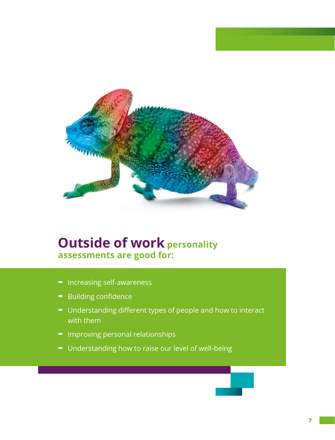

### **Outside of work personality assessments are good for:**

- **-** Increasing self-awareness
- **-** Building confidence
- **-** Understanding different types of people and how to interact with them
- **-** Improving personal relationships
- **-** Understanding how to raise our level of well-being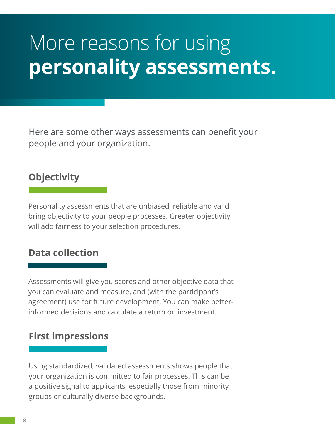## More reasons for using **personality assessments.**

Here are some other ways assessments can benefit your people and your organization.

### **Objectivity**

Personality assessments that are unbiased, reliable and valid bring objectivity to your people processes. Greater objectivity will add fairness to your selection procedures.

#### **Data collection**

Assessments will give you scores and other objective data that you can evaluate and measure, and (with the participant's agreement) use for future development. You can make betterinformed decisions and calculate a return on investment.

#### **First impressions**

Using standardized, validated assessments shows people that your organization is committed to fair processes. This can be a positive signal to applicants, especially those from minority groups or culturally diverse backgrounds.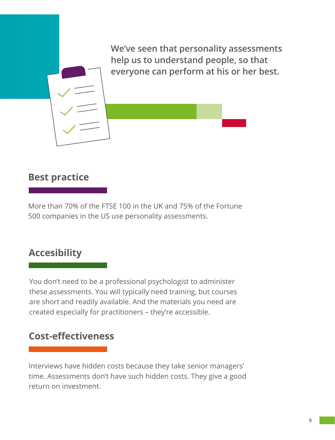**We've seen that personality assessments help us to understand people, so that everyone can perform at his or her best.**

#### **Best practice**

More than 70% of the FTSE 100 in the UK and 75% of the Fortune 500 companies in the US use personality assessments.

#### **Accesibility**

You don't need to be a professional psychologist to administer these assessments. You will typically need training, but courses are short and readily available. And the materials you need are created especially for practitioners – they're accessible.

#### **Cost-effectiveness**

Interviews have hidden costs because they take senior managers' time. Assessments don't have such hidden costs. They give a good return on investment.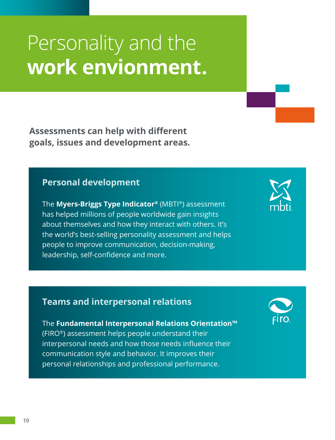## Personality and the **work envionment.**

**Assessments can help with different goals, issues and development areas.**

#### **Personal development**

The **Myers-Briggs Type Indicator®** (MBTI®) assessment has helped millions of people worldwide gain insights about themselves and how they interact with others. It's the world's best-selling personality assessment and helps people to improve communication, decision-making, leadership, self-confidence and more.



#### **Teams and interpersonal relations**

The **Fundamental Interpersonal Relations Orientation™** (FIRO®) assessment helps people understand their interpersonal needs and how those needs influence their communication style and behavior. It improves their personal relationships and professional performance.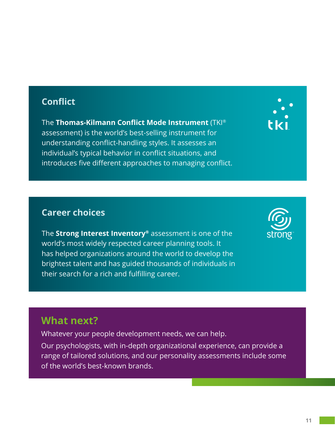#### **Conflict**

The **Thomas-Kilmann Conflict Mode Instrument** (TKI® assessment) is the world's best-selling instrument for understanding conflict-handling styles. It assesses an individual's typical behavior in conflict situations, and introduces five different approaches to managing conflict.



#### **Career choices**

The **Strong Interest Inventory®** assessment is one of the world's most widely respected career planning tools. It has helped organizations around the world to develop the brightest talent and has guided thousands of individuals in their search for a rich and fulfilling career.



### **What next?**

Whatever your people development needs, we can help.

Our psychologists, with in-depth organizational experience, can provide a range of tailored solutions, and our personality assessments include some of the world's best-known brands.